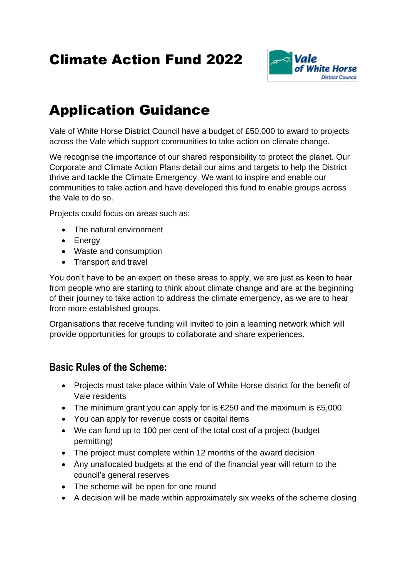# Climate Action Fund 2022



# Application Guidance

Vale of White Horse District Council have a budget of £50,000 to award to projects across the Vale which support communities to take action on climate change.

We recognise the importance of our shared responsibility to protect the planet. Our Corporate and Climate Action Plans detail our aims and targets to help the District thrive and tackle the Climate Emergency. We want to inspire and enable our communities to take action and have developed this fund to enable groups across the Vale to do so.

Projects could focus on areas such as:

- The natural environment
- Energy
- Waste and consumption
- Transport and travel

You don't have to be an expert on these areas to apply, we are just as keen to hear from people who are starting to think about climate change and are at the beginning of their journey to take action to address the climate emergency, as we are to hear from more established groups.

Organisations that receive funding will invited to join a learning network which will provide opportunities for groups to collaborate and share experiences.

## **Basic Rules of the Scheme:**

- Projects must take place within Vale of White Horse district for the benefit of Vale residents
- The minimum grant you can apply for is £250 and the maximum is £5,000
- You can apply for revenue costs or capital items
- We can fund up to 100 per cent of the total cost of a project (budget permitting)
- The project must complete within 12 months of the award decision
- Any unallocated budgets at the end of the financial year will return to the council's general reserves
- The scheme will be open for one round
- A decision will be made within approximately six weeks of the scheme closing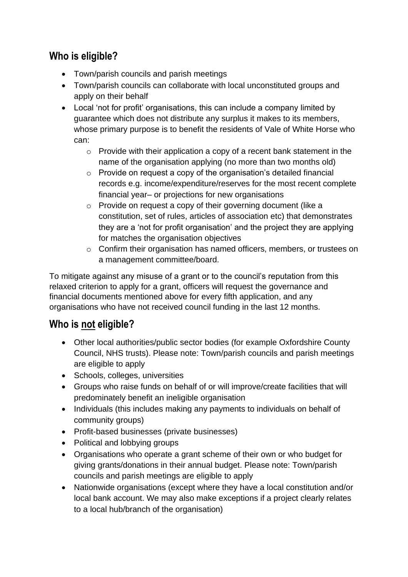# **Who is eligible?**

- Town/parish councils and parish meetings
- Town/parish councils can collaborate with local unconstituted groups and apply on their behalf
- Local 'not for profit' organisations, this can include a company limited by guarantee which does not distribute any surplus it makes to its members, whose primary purpose is to benefit the residents of Vale of White Horse who can:
	- o Provide with their application a copy of a recent bank statement in the name of the organisation applying (no more than two months old)
	- o Provide on request a copy of the organisation's detailed financial records e.g. income/expenditure/reserves for the most recent complete financial year– or projections for new organisations
	- o Provide on request a copy of their governing document (like a constitution, set of rules, articles of association etc) that demonstrates they are a 'not for profit organisation' and the project they are applying for matches the organisation objectives
	- o Confirm their organisation has named officers, members, or trustees on a management committee/board.

To mitigate against any misuse of a grant or to the council's reputation from this relaxed criterion to apply for a grant, officers will request the governance and financial documents mentioned above for every fifth application, and any organisations who have not received council funding in the last 12 months.

## **Who is not eligible?**

- Other local authorities/public sector bodies (for example Oxfordshire County Council, NHS trusts). Please note: Town/parish councils and parish meetings are eligible to apply
- Schools, colleges, universities
- Groups who raise funds on behalf of or will improve/create facilities that will predominately benefit an ineligible organisation
- Individuals (this includes making any payments to individuals on behalf of community groups)
- Profit-based businesses (private businesses)
- Political and lobbying groups
- Organisations who operate a grant scheme of their own or who budget for giving grants/donations in their annual budget. Please note: Town/parish councils and parish meetings are eligible to apply
- Nationwide organisations (except where they have a local constitution and/or local bank account. We may also make exceptions if a project clearly relates to a local hub/branch of the organisation)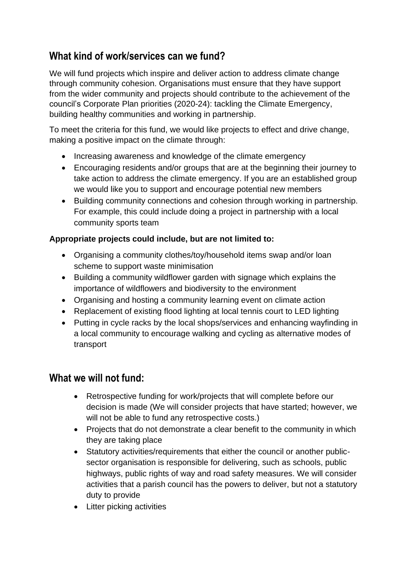# **What kind of work/services can we fund?**

We will fund projects which inspire and deliver action to address climate change through community cohesion. Organisations must ensure that they have support from the wider community and projects should contribute to the achievement of the council's Corporate Plan priorities (2020-24): tackling the Climate Emergency, building healthy communities and working in partnership.

To meet the criteria for this fund, we would like projects to effect and drive change, making a positive impact on the climate through:

- Increasing awareness and knowledge of the climate emergency
- Encouraging residents and/or groups that are at the beginning their journey to take action to address the climate emergency. If you are an established group we would like you to support and encourage potential new members
- Building community connections and cohesion through working in partnership. For example, this could include doing a project in partnership with a local community sports team

#### **Appropriate projects could include, but are not limited to:**

- Organising a community clothes/toy/household items swap and/or loan scheme to support waste minimisation
- Building a community wildflower garden with signage which explains the importance of wildflowers and biodiversity to the environment
- Organising and hosting a community learning event on climate action
- Replacement of existing flood lighting at local tennis court to LED lighting
- Putting in cycle racks by the local shops/services and enhancing wayfinding in a local community to encourage walking and cycling as alternative modes of transport

## **What we will not fund:**

- Retrospective funding for work/projects that will complete before our decision is made (We will consider projects that have started; however, we will not be able to fund any retrospective costs.)
- Projects that do not demonstrate a clear benefit to the community in which they are taking place
- Statutory activities/requirements that either the council or another publicsector organisation is responsible for delivering, such as schools, public highways, public rights of way and road safety measures. We will consider activities that a parish council has the powers to deliver, but not a statutory duty to provide
- Litter picking activities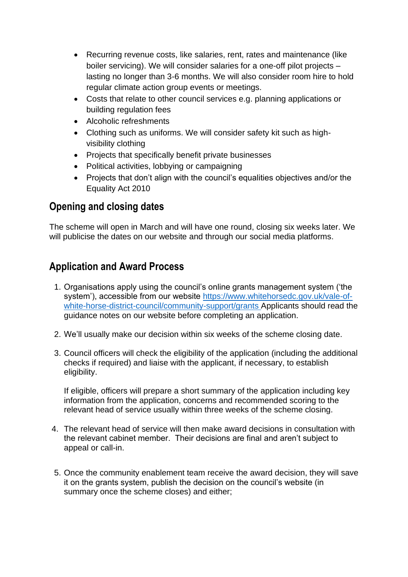- Recurring revenue costs, like salaries, rent, rates and maintenance (like boiler servicing). We will consider salaries for a one-off pilot projects – lasting no longer than 3-6 months. We will also consider room hire to hold regular climate action group events or meetings.
- Costs that relate to other council services e.g. planning applications or building regulation fees
- Alcoholic refreshments
- Clothing such as uniforms. We will consider safety kit such as highvisibility clothing
- Projects that specifically benefit private businesses
- Political activities, lobbying or campaigning
- Projects that don't align with the council's equalities objectives and/or the Equality Act 2010

# **Opening and closing dates**

The scheme will open in March and will have one round, closing six weeks later. We will publicise the dates on our website and through our social media platforms.

# **Application and Award Process**

- 1. Organisations apply using the council's online grants management system ('the system'), accessible from our website [https://www.whitehorsedc.gov.uk/vale-of](https://www.whitehorsedc.gov.uk/vale-of-white-horse-district-council/community-support/grants)[white-horse-district-council/community-support/grants](https://www.whitehorsedc.gov.uk/vale-of-white-horse-district-council/community-support/grants) Applicants should read the guidance notes on our website before completing an application.
- 2. We'll usually make our decision within six weeks of the scheme closing date.
- 3. Council officers will check the eligibility of the application (including the additional checks if required) and liaise with the applicant, if necessary, to establish eligibility.

If eligible, officers will prepare a short summary of the application including key information from the application, concerns and recommended scoring to the relevant head of service usually within three weeks of the scheme closing.

- 4. The relevant head of service will then make award decisions in consultation with the relevant cabinet member. Their decisions are final and aren't subject to appeal or call-in.
- 5. Once the community enablement team receive the award decision, they will save it on the grants system, publish the decision on the council's website (in summary once the scheme closes) and either;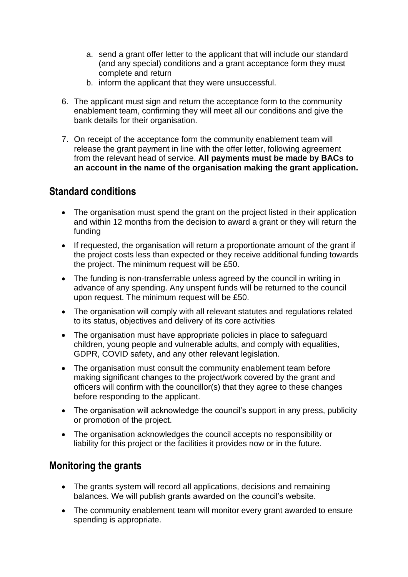- a. send a grant offer letter to the applicant that will include our standard (and any special) conditions and a grant acceptance form they must complete and return
- b. inform the applicant that they were unsuccessful.
- 6. The applicant must sign and return the acceptance form to the community enablement team, confirming they will meet all our conditions and give the bank details for their organisation.
- 7. On receipt of the acceptance form the community enablement team will release the grant payment in line with the offer letter, following agreement from the relevant head of service. **All payments must be made by BACs to an account in the name of the organisation making the grant application.**

### **Standard conditions**

- The organisation must spend the grant on the project listed in their application and within 12 months from the decision to award a grant or they will return the funding
- If requested, the organisation will return a proportionate amount of the grant if the project costs less than expected or they receive additional funding towards the project. The minimum request will be £50.
- The funding is non-transferrable unless agreed by the council in writing in advance of any spending. Any unspent funds will be returned to the council upon request. The minimum request will be £50.
- The organisation will comply with all relevant statutes and regulations related to its status, objectives and delivery of its core activities
- The organisation must have appropriate policies in place to safeguard children, young people and vulnerable adults, and comply with equalities, GDPR, COVID safety, and any other relevant legislation.
- The organisation must consult the community enablement team before making significant changes to the project/work covered by the grant and officers will confirm with the councillor(s) that they agree to these changes before responding to the applicant.
- The organisation will acknowledge the council's support in any press, publicity or promotion of the project.
- The organisation acknowledges the council accepts no responsibility or liability for this project or the facilities it provides now or in the future.

## **Monitoring the grants**

- The grants system will record all applications, decisions and remaining balances. We will publish grants awarded on the council's website.
- The community enablement team will monitor every grant awarded to ensure spending is appropriate.